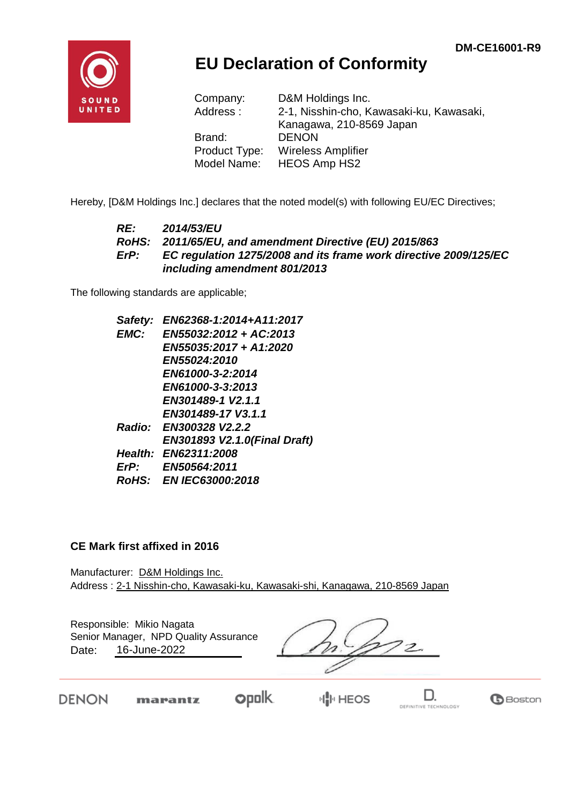

## **EU Declaration of Conformity**

| Company:      | D&M Holdings Inc.                        |
|---------------|------------------------------------------|
| Address:      | 2-1, Nisshin-cho, Kawasaki-ku, Kawasaki, |
|               | Kanagawa, 210-8569 Japan                 |
| Brand:        | <b>DENON</b>                             |
| Product Type: | <b>Wireless Amplifier</b>                |
| Model Name:   | <b>HEOS Amp HS2</b>                      |

Hereby, [D&M Holdings Inc.] declares that the noted model(s) with following EU/EC Directives;

#### *RE: 2014/53/EU RoHS: 2011/65/EU, and amendment Directive (EU) 2015/863 ErP: EC regulation 1275/2008 and its frame work directive 2009/125/EC including amendment 801/2013*

The following standards are applicable;

| Safety:     | EN62368-1:2014+A11:2017              |
|-------------|--------------------------------------|
| EMC:        | EN55032:2012 + AC:2013               |
|             | EN55035:2017 + A1:2020               |
|             | EN55024:2010                         |
|             | EN61000-3-2:2014                     |
|             | EN61000-3-3:2013                     |
|             | EN301489-1 V2.1.1                    |
|             | EN301489-17 V3.1.1                   |
|             | Radio: EN300328 V2.2.2               |
|             | <b>EN301893 V2.1.0 (Final Draft)</b> |
|             | Health: EN62311:2008                 |
| $E$ r $P$ : | EN50564:2011                         |
|             | RoHS: EN IEC63000:2018               |
|             |                                      |

#### **CE Mark first affixed in 2016**

Manufacturer: D&M Holdings Inc. Address : 2-1 Nisshin-cho, Kawasaki-ku, Kawasaki-shi, Kanagawa, 210-8569 Japan

Responsible: Mikio Nagata Date: 16-June-2022 Senior Manager, NPD Quality Assurance

 $^{\prime}$ 2.

**DENON** 

**opolk** marantz

**IN HEOS** 

D. DEFINITIVE TECHNOLOGY

**B**Boston